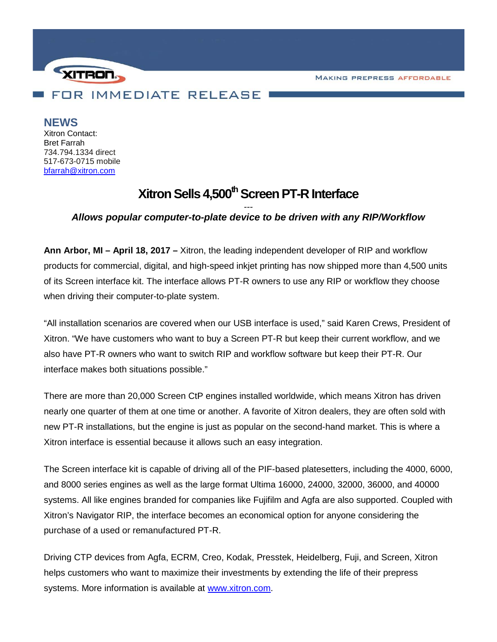**MAKING PREPRESS AFFORDABLE** 



**NEWS**

Xitron Contact: Bret Farrah 734.794.1334 direct 517-673-0715 mobile [bfarrah@xitron.com](mailto:bfarrah@xitron.com)

## **Xitron Sells 4,500<sup>th</sup> Screen PT-R Interface**

## *--- Allows popular computer-to-plate device to be driven with any RIP/Workflow*

**Ann Arbor, MI – April 18, 2017 –** Xitron, the leading independent developer of RIP and workflow products for commercial, digital, and high-speed inkjet printing has now shipped more than 4,500 units of its Screen interface kit. The interface allows PT-R owners to use any RIP or workflow they choose when driving their computer-to-plate system.

"All installation scenarios are covered when our USB interface is used," said Karen Crews, President of Xitron. "We have customers who want to buy a Screen PT-R but keep their current workflow, and we also have PT-R owners who want to switch RIP and workflow software but keep their PT-R. Our interface makes both situations possible."

There are more than 20,000 Screen CtP engines installed worldwide, which means Xitron has driven nearly one quarter of them at one time or another. A favorite of Xitron dealers, they are often sold with new PT-R installations, but the engine is just as popular on the second-hand market. This is where a Xitron interface is essential because it allows such an easy integration.

The Screen interface kit is capable of driving all of the PIF-based platesetters, including the 4000, 6000, and 8000 series engines as well as the large format Ultima 16000, 24000, 32000, 36000, and 40000 systems. All like engines branded for companies like Fujifilm and Agfa are also supported. Coupled with Xitron's Navigator RIP, the interface becomes an economical option for anyone considering the purchase of a used or remanufactured PT-R.

Driving CTP devices from Agfa, ECRM, Creo, Kodak, Presstek, Heidelberg, Fuji, and Screen, Xitron helps customers who want to maximize their investments by extending the life of their prepress systems. More information is available at [www.xitron.com.](http://www.xitron.com/)